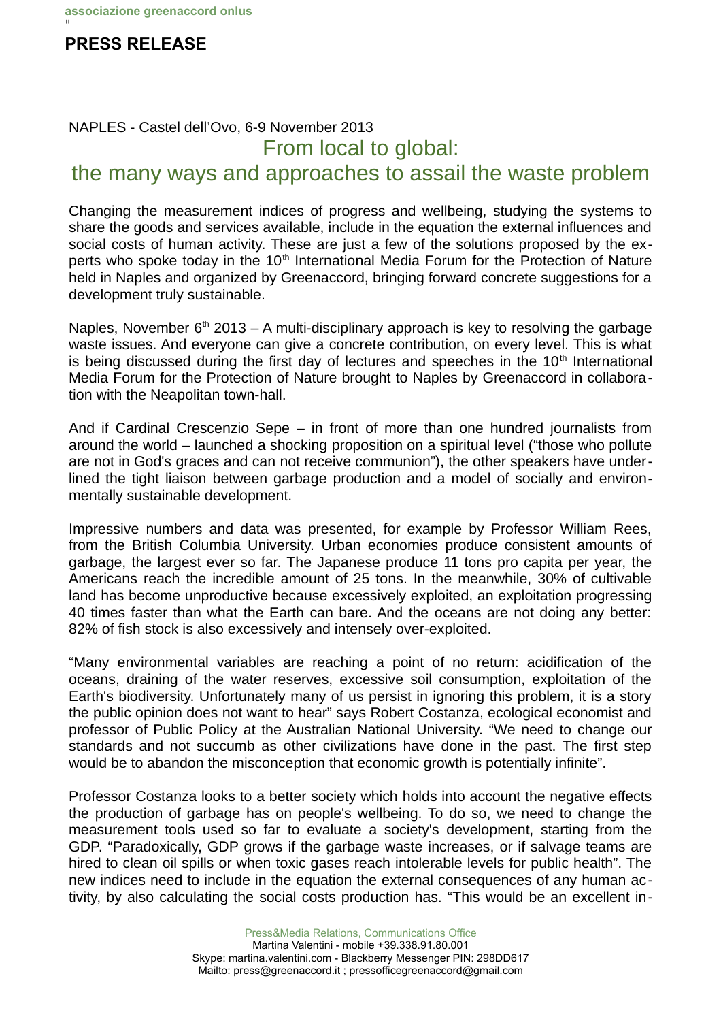## I **PRESS RELEASE**

## NAPLES - Castel dell'Ovo, 6-9 November 2013 From local to global:

## the many ways and approaches to assail the waste problem

Changing the measurement indices of progress and wellbeing, studying the systems to share the goods and services available, include in the equation the external influences and social costs of human activity. These are just a few of the solutions proposed by the experts who spoke today in the  $10<sup>th</sup>$  International Media Forum for the Protection of Nature held in Naples and organized by Greenaccord, bringing forward concrete suggestions for a development truly sustainable.

Naples, November  $6<sup>th</sup>$  2013 – A multi-disciplinary approach is key to resolving the garbage waste issues. And everyone can give a concrete contribution, on every level. This is what is being discussed during the first day of lectures and speeches in the  $10<sup>th</sup>$  International Media Forum for the Protection of Nature brought to Naples by Greenaccord in collaboration with the Neapolitan town-hall.

And if Cardinal Crescenzio Sepe – in front of more than one hundred journalists from around the world – launched a shocking proposition on a spiritual level ("those who pollute are not in God's graces and can not receive communion"), the other speakers have underlined the tight liaison between garbage production and a model of socially and environmentally sustainable development.

Impressive numbers and data was presented, for example by Professor William Rees, from the British Columbia University. Urban economies produce consistent amounts of garbage, the largest ever so far. The Japanese produce 11 tons pro capita per year, the Americans reach the incredible amount of 25 tons. In the meanwhile, 30% of cultivable land has become unproductive because excessively exploited, an exploitation progressing 40 times faster than what the Earth can bare. And the oceans are not doing any better: 82% of fish stock is also excessively and intensely over-exploited.

"Many environmental variables are reaching a point of no return: acidification of the oceans, draining of the water reserves, excessive soil consumption, exploitation of the Earth's biodiversity. Unfortunately many of us persist in ignoring this problem, it is a story the public opinion does not want to hear" says Robert Costanza, ecological economist and professor of Public Policy at the Australian National University. "We need to change our standards and not succumb as other civilizations have done in the past. The first step would be to abandon the misconception that economic growth is potentially infinite".

Professor Costanza looks to a better society which holds into account the negative effects the production of garbage has on people's wellbeing. To do so, we need to change the measurement tools used so far to evaluate a society's development, starting from the GDP. "Paradoxically, GDP grows if the garbage waste increases, or if salvage teams are hired to clean oil spills or when toxic gases reach intolerable levels for public health". The new indices need to include in the equation the external consequences of any human activity, by also calculating the social costs production has. "This would be an excellent in-